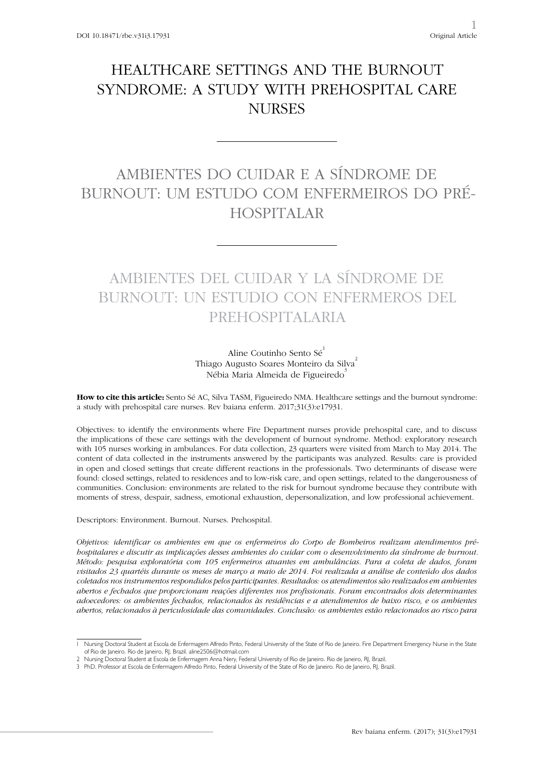## HEALTHCARE SETTINGS AND THE BURNOUT SYNDROME: A STUDY WITH PREHOSPITAL CARE **NURSES**

# AMBIENTES DO CUIDAR E A SÍNDROME DE BURNOUT: UM ESTUDO COM ENFERMEIROS DO PRÉ-HOSPITALAR

# AMBIENTES DEL CUIDAR Y LA SÍNDROME DE BURNOUT: UN ESTUDIO CON ENFERMEROS DEL PREHOSPITALARIA

### Aline Coutinho Sento Sé<sup>1</sup> Thiago Augusto Soares Monteiro da Silva<sup>2</sup> Nébia Maria Almeida de Figueiredo<sup>3</sup>

**How to cite this article:** Sento Sé AC, Silva TASM, Figueiredo NMA. Healthcare settings and the burnout syndrome: a study with prehospital care nurses. Rev baiana enferm. 2017;31(3):e17931.

Objectives: to identify the environments where Fire Department nurses provide prehospital care, and to discuss the implications of these care settings with the development of burnout syndrome. Method: exploratory research with 105 nurses working in ambulances. For data collection, 23 quarters were visited from March to May 2014. The content of data collected in the instruments answered by the participants was analyzed. Results: care is provided in open and closed settings that create different reactions in the professionals. Two determinants of disease were found: closed settings, related to residences and to low-risk care, and open settings, related to the dangerousness of communities. Conclusion: environments are related to the risk for burnout syndrome because they contribute with moments of stress, despair, sadness, emotional exhaustion, depersonalization, and low professional achievement.

Descriptors: Environment. Burnout. Nurses. Prehospital.

*Objetivos: identificar os ambientes em que os enfermeiros do Corpo de Bombeiros realizam atendimentos préhospitalares e discutir as implicações desses ambientes do cuidar com o desenvolvimento da síndrome de burnout. Método: pesquisa exploratória com 105 enfermeiros atuantes em ambulâncias. Para a coleta de dados, foram visitados 23 quartéis durante os meses de março a maio de 2014. Foi realizada a análise de conteúdo dos dados coletados nos instrumentos respondidos pelos participantes. Resultados: os atendimentos são realizados em ambientes abertos e fechados que proporcionam reações diferentes nos profissionais. Foram encontrados dois determinantes adoecedores: os ambientes fechados, relacionados às residências e a atendimentos de baixo risco, e os ambientes abertos, relacionados à periculosidade das comunidades. Conclusão: os ambientes estão relacionados ao risco para* 

<sup>1</sup> Nursing Doctoral Student at Escola de Enfermagem Alfredo Pinto, Federal University of the State of Rio de Janeiro. Fire Department Emergency Nurse in the State of Rio de Janeiro. Rio de Janeiro, RJ, Brazil. aline2506@hotmail.com

<sup>2</sup> Nursing Doctoral Student at Escola de Enfermagem Anna Nery, Federal University of Rio de Janeiro. Rio de Janeiro, RJ, Brazil.

<sup>3</sup> PhD. Professor at Escola de Enfermagem Alfredo Pinto, Federal University of the State of Rio de Janeiro. Rio de Janeiro, RJ, Brazil.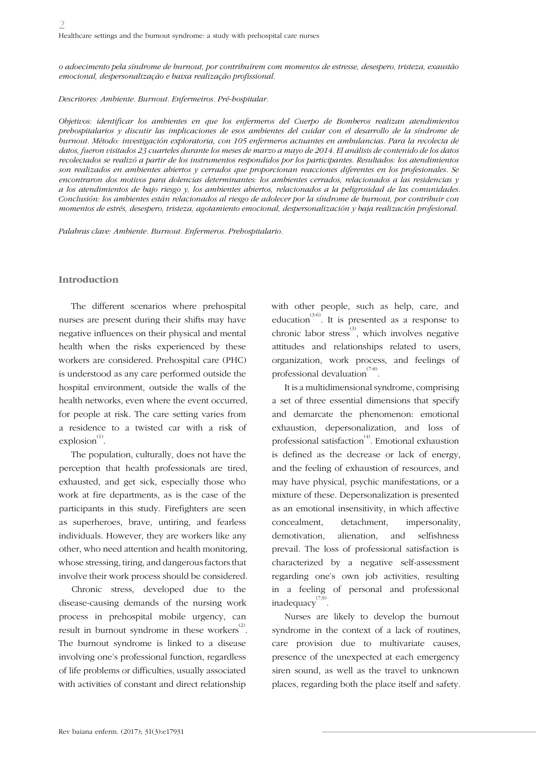*o adoecimento pela síndrome de burnout, por contribuírem com momentos de estresse, desespero, tristeza, exaustão emocional, despersonalização e baixa realização profissional.* 

*Descritores: Ambiente. Burnout. Enfermeiros. Pré-hospitalar.*

*Objetivos: identificar los ambientes en que los enfermeros del Cuerpo de Bomberos realizan atendimientos prehospitalarios y discutir las implicaciones de esos ambientes del cuidar con el desarrollo de la síndrome de burnout. Método: investigación exploratoria, con 105 enfermeros actuantes en ambulancias. Para la recolecta de datos, fueron visitados 23 cuarteles durante los meses de marzo a mayo de 2014. El análisis de contenido de los datos recolectados se realizó a partir de los instrumentos respondidos por los participantes. Resultados: los atendimientos son realizados en ambientes abiertos y cerrados que proporcionan reacciones diferentes en los profesionales. Se encontraron dos motivos para dolencias determinantes: los ambientes cerrados, relacionados a las residencias y a los atendimientos de bajo riesgo y, los ambientes abiertos, relacionados a la peligrosidad de las comunidades. Conclusión: los ambientes están relacionados al riesgo de adolecer por la síndrome de burnout, por contribuir con momentos de estrés, desespero, tristeza, agotamiento emocional, despersonalización y baja realización profesional.* 

*Palabras clave: Ambiente. Burnout. Enfermeros. Prehospitalario.*

#### **Introduction**

The different scenarios where prehospital nurses are present during their shifts may have negative influences on their physical and mental health when the risks experienced by these workers are considered. Prehospital care (PHC) is understood as any care performed outside the hospital environment, outside the walls of the health networks, even where the event occurred, for people at risk. The care setting varies from a residence to a twisted car with a risk of  $explosion^{(1)}$ .

The population, culturally, does not have the perception that health professionals are tired, exhausted, and get sick, especially those who work at fire departments, as is the case of the participants in this study. Firefighters are seen as superheroes, brave, untiring, and fearless individuals. However, they are workers like any other, who need attention and health monitoring, whose stressing, tiring, and dangerous factors that involve their work process should be considered.

Chronic stress, developed due to the disease-causing demands of the nursing work process in prehospital mobile urgency, can result in burnout syndrome in these workers $^{(2)}$ . The burnout syndrome is linked to a disease involving one's professional function, regardless of life problems or difficulties, usually associated with activities of constant and direct relationship

with other people, such as help, care, and education<sup>(3-6)</sup>. It is presented as a response to chronic labor stress<sup>(3)</sup>, which involves negative attitudes and relationships related to users, organization, work process, and feelings of professional devaluation<sup>(7-8)</sup>.

It is a multidimensional syndrome, comprising a set of three essential dimensions that specify and demarcate the phenomenon: emotional exhaustion, depersonalization, and loss of professional satisfaction(4). Emotional exhaustion is defined as the decrease or lack of energy, and the feeling of exhaustion of resources, and may have physical, psychic manifestations, or a mixture of these. Depersonalization is presented as an emotional insensitivity, in which affective concealment, detachment, impersonality, demotivation, alienation, and selfishness prevail. The loss of professional satisfaction is characterized by a negative self-assessment regarding one's own job activities, resulting in a feeling of personal and professional inadequacy $^{(7,9)}$ .

Nurses are likely to develop the burnout syndrome in the context of a lack of routines, care provision due to multivariate causes, presence of the unexpected at each emergency siren sound, as well as the travel to unknown places, regarding both the place itself and safety.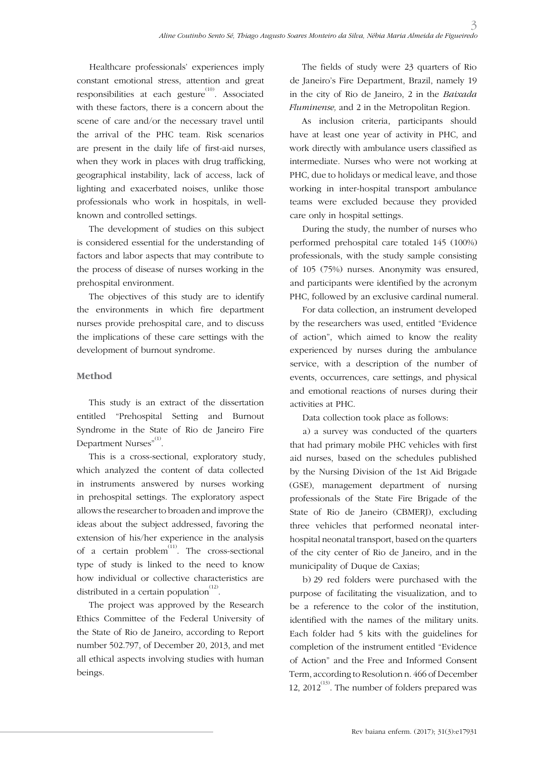Healthcare professionals' experiences imply constant emotional stress, attention and great responsibilities at each gesture<sup>(10)</sup>. Associated with these factors, there is a concern about the scene of care and/or the necessary travel until the arrival of the PHC team. Risk scenarios are present in the daily life of first-aid nurses, when they work in places with drug trafficking, geographical instability, lack of access, lack of lighting and exacerbated noises, unlike those professionals who work in hospitals, in wellknown and controlled settings.

The development of studies on this subject is considered essential for the understanding of factors and labor aspects that may contribute to the process of disease of nurses working in the prehospital environment.

The objectives of this study are to identify the environments in which fire department nurses provide prehospital care, and to discuss the implications of these care settings with the development of burnout syndrome.

## **Method**

This study is an extract of the dissertation entitled "Prehospital Setting and Burnout Syndrome in the State of Rio de Janeiro Fire Department Nurses"<sup>(1)</sup>.

This is a cross-sectional, exploratory study, which analyzed the content of data collected in instruments answered by nurses working in prehospital settings. The exploratory aspect allows the researcher to broaden and improve the ideas about the subject addressed, favoring the extension of his/her experience in the analysis of a certain problem<sup>(11)</sup>. The cross-sectional type of study is linked to the need to know how individual or collective characteristics are distributed in a certain population  $^{(12)}$ .

The project was approved by the Research Ethics Committee of the Federal University of the State of Rio de Janeiro, according to Report number 502.797, of December 20, 2013, and met all ethical aspects involving studies with human beings.

The fields of study were 23 quarters of Rio de Janeiro's Fire Department, Brazil, namely 19 in the city of Rio de Janeiro, 2 in the *Baixada Fluminense,* and 2 in the Metropolitan Region.

As inclusion criteria, participants should have at least one year of activity in PHC, and work directly with ambulance users classified as intermediate. Nurses who were not working at PHC, due to holidays or medical leave, and those working in inter-hospital transport ambulance teams were excluded because they provided care only in hospital settings.

During the study, the number of nurses who performed prehospital care totaled 145 (100%) professionals, with the study sample consisting of 105 (75%) nurses. Anonymity was ensured, and participants were identified by the acronym PHC, followed by an exclusive cardinal numeral.

For data collection, an instrument developed by the researchers was used, entitled "Evidence of action", which aimed to know the reality experienced by nurses during the ambulance service, with a description of the number of events, occurrences, care settings, and physical and emotional reactions of nurses during their activities at PHC.

Data collection took place as follows:

a) a survey was conducted of the quarters that had primary mobile PHC vehicles with first aid nurses, based on the schedules published by the Nursing Division of the 1st Aid Brigade (GSE), management department of nursing professionals of the State Fire Brigade of the State of Rio de Janeiro (CBMERJ), excluding three vehicles that performed neonatal interhospital neonatal transport, based on the quarters of the city center of Rio de Janeiro, and in the municipality of Duque de Caxias;

b) 29 red folders were purchased with the purpose of facilitating the visualization, and to be a reference to the color of the institution, identified with the names of the military units. Each folder had 5 kits with the guidelines for completion of the instrument entitled "Evidence of Action" and the Free and Informed Consent Term, according to Resolution n. 466 of December 12,  $2012^{(13)}$ . The number of folders prepared was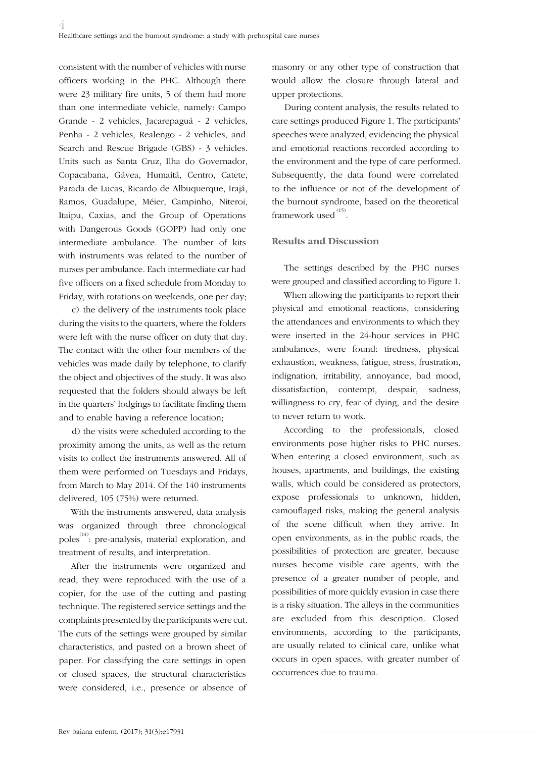consistent with the number of vehicles with nurse officers working in the PHC. Although there were 23 military fire units, 5 of them had more than one intermediate vehicle, namely: Campo Grande - 2 vehicles, Jacarepaguá - 2 vehicles, Penha - 2 vehicles, Realengo - 2 vehicles, and Search and Rescue Brigade (GBS) - 3 vehicles. Units such as Santa Cruz, Ilha do Governador, Copacabana, Gávea, Humaitá, Centro, Catete, Parada de Lucas, Ricardo de Albuquerque, Irajá, Ramos, Guadalupe, Méier, Campinho, Niteroi, Itaipu, Caxias, and the Group of Operations with Dangerous Goods (GOPP) had only one intermediate ambulance. The number of kits with instruments was related to the number of nurses per ambulance. Each intermediate car had five officers on a fixed schedule from Monday to Friday, with rotations on weekends, one per day;

c) the delivery of the instruments took place during the visits to the quarters, where the folders were left with the nurse officer on duty that day. The contact with the other four members of the vehicles was made daily by telephone, to clarify the object and objectives of the study. It was also requested that the folders should always be left in the quarters' lodgings to facilitate finding them and to enable having a reference location;

d) the visits were scheduled according to the proximity among the units, as well as the return visits to collect the instruments answered. All of them were performed on Tuesdays and Fridays, from March to May 2014. Of the 140 instruments delivered, 105 (75%) were returned.

With the instruments answered, data analysis was organized through three chronological poles<sup> $(14)$ </sup>: pre-analysis, material exploration, and treatment of results, and interpretation.

After the instruments were organized and read, they were reproduced with the use of a copier, for the use of the cutting and pasting technique. The registered service settings and the complaints presented by the participants were cut. The cuts of the settings were grouped by similar characteristics, and pasted on a brown sheet of paper. For classifying the care settings in open or closed spaces, the structural characteristics were considered, i.e., presence or absence of

masonry or any other type of construction that would allow the closure through lateral and upper protections.

During content analysis, the results related to care settings produced Figure 1. The participants' speeches were analyzed, evidencing the physical and emotional reactions recorded according to the environment and the type of care performed. Subsequently, the data found were correlated to the influence or not of the development of the burnout syndrome, based on the theoretical framework used  $^{(15)}$ .

### **Results and Discussion**

The settings described by the PHC nurses were grouped and classified according to Figure 1.

When allowing the participants to report their physical and emotional reactions, considering the attendances and environments to which they were inserted in the 24-hour services in PHC ambulances, were found: tiredness, physical exhaustion, weakness, fatigue, stress, frustration, indignation, irritability, annoyance, bad mood, dissatisfaction, contempt, despair, sadness, willingness to cry, fear of dying, and the desire to never return to work.

According to the professionals, closed environments pose higher risks to PHC nurses. When entering a closed environment, such as houses, apartments, and buildings, the existing walls, which could be considered as protectors, expose professionals to unknown, hidden, camouflaged risks, making the general analysis of the scene difficult when they arrive. In open environments, as in the public roads, the possibilities of protection are greater, because nurses become visible care agents, with the presence of a greater number of people, and possibilities of more quickly evasion in case there is a risky situation. The alleys in the communities are excluded from this description. Closed environments, according to the participants, are usually related to clinical care, unlike what occurs in open spaces, with greater number of occurrences due to trauma.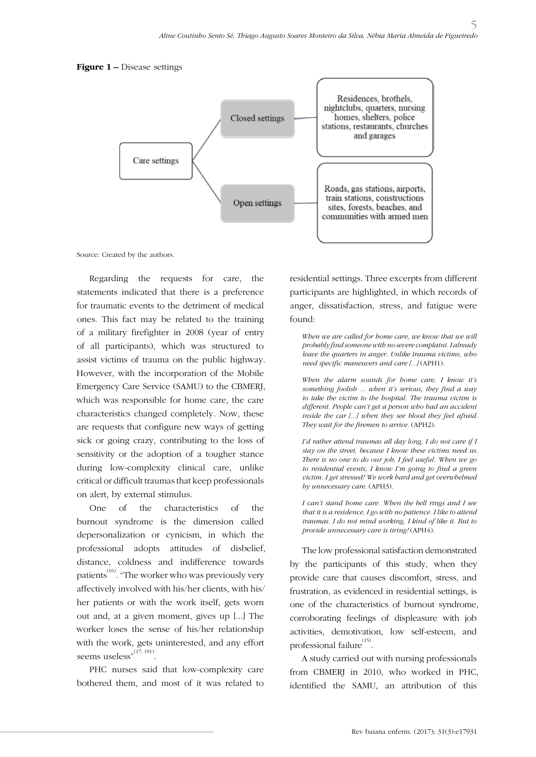#### **Figure 1 –** Disease settings



Source: Created by the authors.

Regarding the requests for care, the statements indicated that there is a preference for traumatic events to the detriment of medical ones. This fact may be related to the training of a military firefighter in 2008 (year of entry of all participants), which was structured to assist victims of trauma on the public highway. However, with the incorporation of the Mobile Emergency Care Service (SAMU) to the CBMERJ, which was responsible for home care, the care characteristics changed completely. Now, these are requests that configure new ways of getting sick or going crazy, contributing to the loss of sensitivity or the adoption of a tougher stance during low-complexity clinical care, unlike critical or difficult traumas that keep professionals on alert, by external stimulus.

One of the characteristics of the burnout syndrome is the dimension called depersonalization or cynicism, in which the professional adopts attitudes of disbelief, distance, coldness and indifference towards patients<sup> $(16)$ </sup>. "The worker who was previously very affectively involved with his/her clients, with his/ her patients or with the work itself, gets worn out and, at a given moment, gives up [...] The worker loses the sense of his/her relationship with the work, gets uninterested, and any effort seems useless" $^{(17:191)}$ .

PHC nurses said that low-complexity care bothered them, and most of it was related to residential settings. Three excerpts from different participants are highlighted, in which records of anger, dissatisfaction, stress, and fatigue were found:

*When we are called for home care, we know that we will probably find someone with no severe complaint. I already leave the quarters in anger. Unlike trauma victims, who need specific maneuvers and care [...]* (APH1).

*When the alarm sounds for home care, I know it's something foolish ... when it's serious, they find a way to take the victim to the hospital. The trauma victim is different. People can't get a person who had an accident inside the car [...] when they see blood they feel afraid. They wait for the firemen to arrive.* (APH2).

*I'd rather attend traumas all day long, I do not care if I stay on the street, because I know these victims need us. There is no one to do our job, I feel useful. When we go to residential events, I know I'm going to find a green victim. I get stressed! We work hard and get overwhelmed by unnecessary care.* (APH3).

*I can't stand home care. When the bell rings and I see that it is a residence, I go with no patience. I like to attend traumas. I do not mind working, I kind of like it. But to provide unnecessary care is tiring!* (APH4).

The low professional satisfaction demonstrated by the participants of this study, when they provide care that causes discomfort, stress, and frustration, as evidenced in residential settings, is one of the characteristics of burnout syndrome, corroborating feelings of displeasure with job activities, demotivation, low self-esteem, and professional failure<sup>(15)</sup>.

A study carried out with nursing professionals from CBMERJ in 2010, who worked in PHC, identified the SAMU, an attribution of this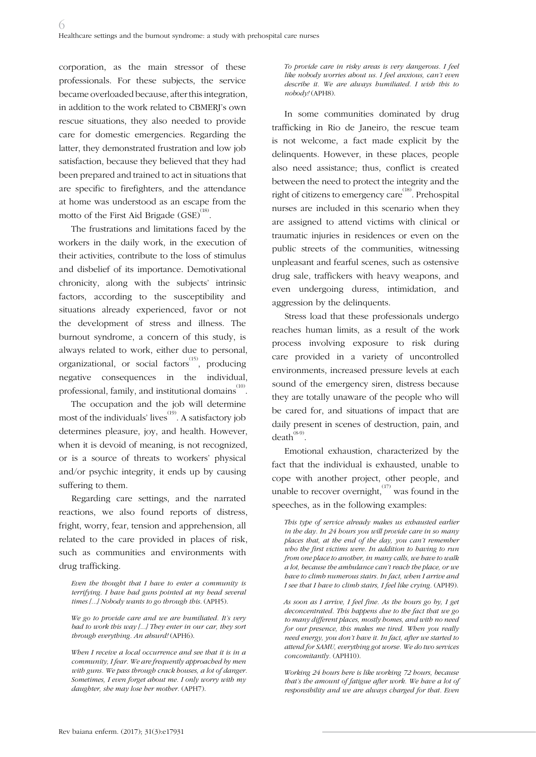corporation, as the main stressor of these professionals. For these subjects, the service became overloaded because, after this integration, in addition to the work related to CBMERJ's own rescue situations, they also needed to provide care for domestic emergencies. Regarding the latter, they demonstrated frustration and low job satisfaction, because they believed that they had been prepared and trained to act in situations that are specific to firefighters, and the attendance at home was understood as an escape from the motto of the First Aid Brigade  ${\rm (GSE)}^{^{(18)}}$ .

The frustrations and limitations faced by the workers in the daily work, in the execution of their activities, contribute to the loss of stimulus and disbelief of its importance. Demotivational chronicity, along with the subjects' intrinsic factors, according to the susceptibility and situations already experienced, favor or not the development of stress and illness. The burnout syndrome, a concern of this study, is always related to work, either due to personal, organizational, or social factors<sup>(15)</sup>, producing negative consequences in the individual, professional, family, and institutional domains $\overset{\scriptscriptstyle{(10)}}{\phantom{}_{\sim}}$ 

The occupation and the job will determine most of the individuals' lives<sup>(19)</sup>. A satisfactory job determines pleasure, joy, and health. However, when it is devoid of meaning, is not recognized, or is a source of threats to workers' physical and/or psychic integrity, it ends up by causing suffering to them.

Regarding care settings, and the narrated reactions, we also found reports of distress, fright, worry, fear, tension and apprehension, all related to the care provided in places of risk, such as communities and environments with drug trafficking.

*Even the thought that I have to enter a community is terrifying. I have had guns pointed at my head several times [...] Nobody wants to go through this.* (APH5).

*We go to provide care and we are humiliated. It's very bad to work this way [...] They enter in our car, they sort through everything. An absurd!* (APH6).

*When I receive a local occurrence and see that it is in a community, I fear. We are frequently approached by men with guns. We pass through crack houses, a lot of danger. Sometimes, I even forget about me. I only worry with my daughter, she may lose her mother.* (APH7).

*To provide care in risky areas is very dangerous. I feel like nobody worries about us. I feel anxious, can't even describe it. We are always humiliated. I wish this to nobody!* (APH8).

In some communities dominated by drug trafficking in Rio de Janeiro, the rescue team is not welcome, a fact made explicit by the delinquents. However, in these places, people also need assistance; thus, conflict is created between the need to protect the integrity and the right of citizens to emergency care<sup> $(18)$ </sup>. Prehospital nurses are included in this scenario when they are assigned to attend victims with clinical or traumatic injuries in residences or even on the public streets of the communities, witnessing unpleasant and fearful scenes, such as ostensive drug sale, traffickers with heavy weapons, and even undergoing duress, intimidation, and aggression by the delinquents.

Stress load that these professionals undergo reaches human limits, as a result of the work process involving exposure to risk during care provided in a variety of uncontrolled environments, increased pressure levels at each sound of the emergency siren, distress because they are totally unaware of the people who will be cared for, and situations of impact that are daily present in scenes of destruction, pain, and  $death^{(8-9)}$ .

Emotional exhaustion, characterized by the fact that the individual is exhausted, unable to cope with another project, other people, and unable to recover overnight,  $^{(17)}$  was found in the speeches, as in the following examples:

*This type of service already makes us exhausted earlier in the day. In 24 hours you will provide care in so many places that, at the end of the day, you can't remember who the first victims were. In addition to having to run from one place to another, in many calls, we have to walk a lot, because the ambulance can't reach the place, or we have to climb numerous stairs. In fact, when I arrive and I see that I have to climb stairs, I feel like crying.* (APH9).

*As soon as I arrive, I feel fine. As the hours go by, I get deconcentrated. This happens due to the fact that we go to many different places, mostly homes, and with no need for our presence, this makes me tired. When you really need energy, you don't have it. In fact, after we started to attend for SAMU, everything got worse. We do two services concomitantly.* (APH10).

*Working 24 hours here is like working 72 hours, because that's the amount of fatigue after work. We have a lot of responsibility and we are always charged for that. Even*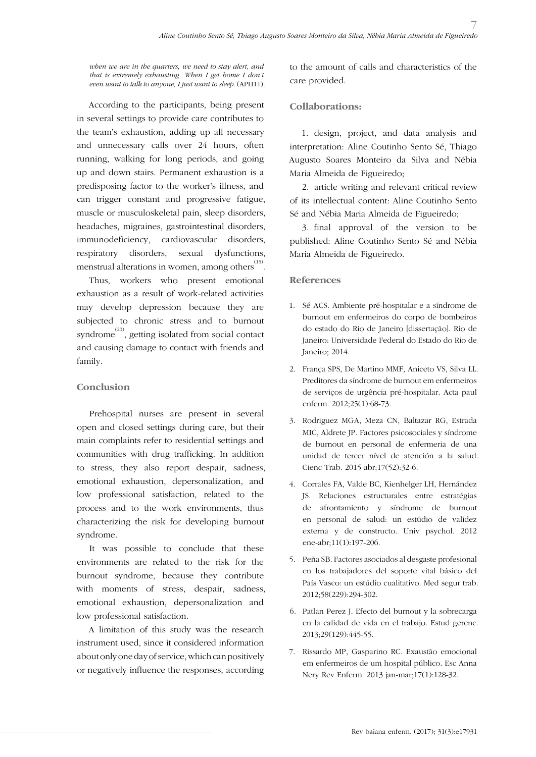*when we are in the quarters, we need to stay alert, and that is extremely exhausting. When I get home I don't even want to talk to anyone; I just want to sleep.* (APH11).

According to the participants, being present in several settings to provide care contributes to the team's exhaustion, adding up all necessary and unnecessary calls over 24 hours, often running, walking for long periods, and going up and down stairs. Permanent exhaustion is a predisposing factor to the worker's illness, and can trigger constant and progressive fatigue, muscle or musculoskeletal pain, sleep disorders, headaches, migraines, gastrointestinal disorders, immunodeficiency, cardiovascular disorders, respiratory disorders, sexual dysfunctions, menstrual alterations in women, among others  $\overset{(15)}{.}$ 

Thus, workers who present emotional exhaustion as a result of work-related activities may develop depression because they are subjected to chronic stress and to burnout syndrome<sup> $(20)$ </sup>, getting isolated from social contact and causing damage to contact with friends and family.

## **Conclusion**

Prehospital nurses are present in several open and closed settings during care, but their main complaints refer to residential settings and communities with drug trafficking. In addition to stress, they also report despair, sadness, emotional exhaustion, depersonalization, and low professional satisfaction, related to the process and to the work environments, thus characterizing the risk for developing burnout syndrome.

It was possible to conclude that these environments are related to the risk for the burnout syndrome, because they contribute with moments of stress, despair, sadness, emotional exhaustion, depersonalization and low professional satisfaction.

A limitation of this study was the research instrument used, since it considered information about only one day of service, which can positively or negatively influence the responses, according to the amount of calls and characteristics of the care provided.

#### **Collaborations:**

1. design, project, and data analysis and interpretation: Aline Coutinho Sento Sé, Thiago Augusto Soares Monteiro da Silva and Nébia Maria Almeida de Figueiredo;

2. article writing and relevant critical review of its intellectual content: Aline Coutinho Sento Sé and Nébia Maria Almeida de Figueiredo;

3. final approval of the version to be published: Aline Coutinho Sento Sé and Nébia Maria Almeida de Figueiredo.

#### **References**

- 1. Sé ACS. Ambiente pré-hospitalar e a síndrome de burnout em enfermeiros do corpo de bombeiros do estado do Rio de Janeiro [dissertação]. Rio de Janeiro: Universidade Federal do Estado do Rio de Janeiro; 2014.
- 2. França SPS, De Martino MMF, Aniceto VS, Silva LL. Preditores da síndrome de burnout em enfermeiros de serviços de urgência pré-hospitalar. Acta paul enferm. 2012;25(1):68-73.
- 3. Rodriguez MGA, Meza CN, Baltazar RG, Estrada MIC, Aldrete JP. Factores psicosociales y síndrome de burnout en personal de enfermeria de una unidad de tercer nível de atención a la salud. Cienc Trab. 2015 abr;17(52):32-6.
- 4. Corrales FA, Valde BC, Kienhelger LH, Hernández JS. Relaciones estructurales entre estratégias de afrontamiento y síndrome de burnout en personal de salud: un estúdio de validez externa y de constructo. Univ psychol. 2012 ene-abr;11(1):197-206.
- 5. Peña SB. Factores asociados al desgaste profesional en los trabajadores del soporte vital básico del País Vasco: un estúdio cualitativo. Med segur trab. 2012;58(229):294-302.
- 6. Patlan Perez J. Efecto del burnout y la sobrecarga en la calidad de vida en el trabajo. Estud gerenc. 2013;29(129):445-55.
- 7. Rissardo MP, Gasparino RC. Exaustão emocional em enfermeiros de um hospital público. Esc Anna Nery Rev Enferm. 2013 jan-mar;17(1):128-32.